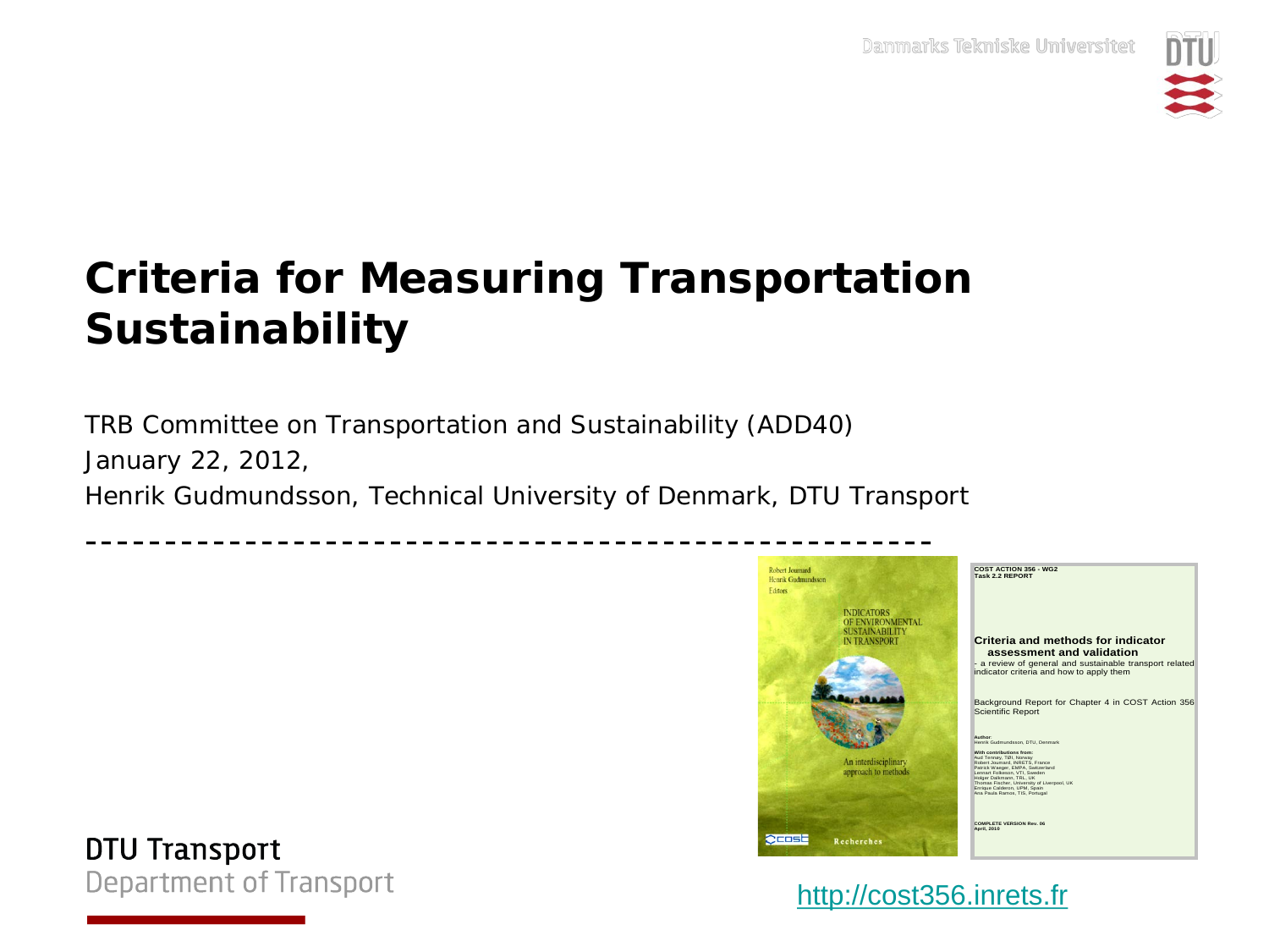

## **Criteria for Measuring Transportation Sustainability**

TRB Committee on Transportation and Sustainability (ADD40) January 22, 2012, *Henrik Gudmundsson, Technical University of Denmark, DTU Transport*



**DTU Transport Department of Transport** 

[http://cost356.inrets.fr](http://cost356.inrets.fr/)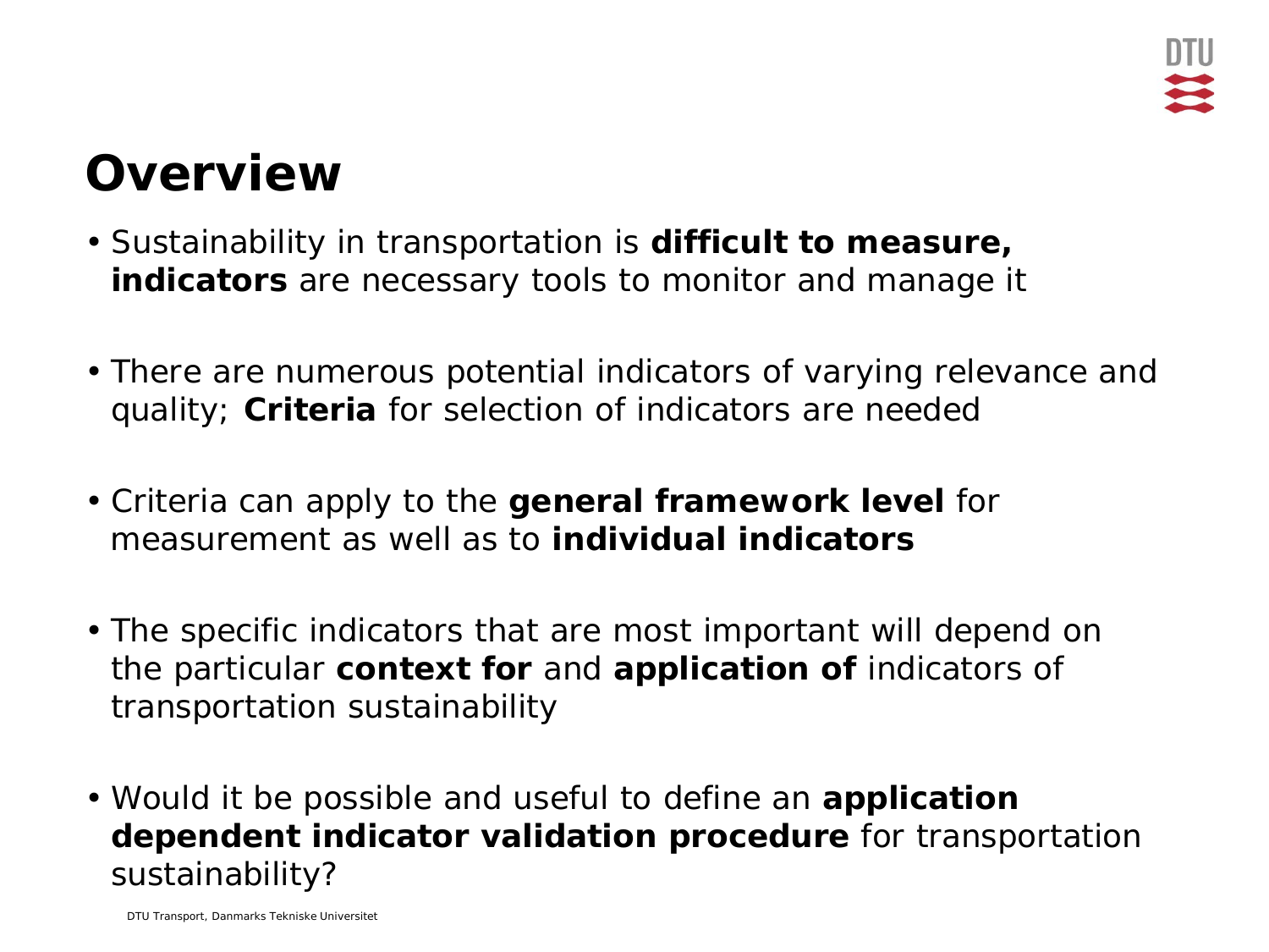## **Overview**

- Sustainability in transportation is **difficult to measure, indicators** are necessary tools to monitor and manage it
- There are numerous potential indicators of varying relevance and quality; **Criteria** for selection of indicators are needed
- Criteria can apply to the **general framework level** for measurement as well as to **individual indicators**
- The specific indicators that are most important will depend on the particular **context for** and **application of** indicators of transportation sustainability
- Would it be possible and useful to define an **application dependent indicator validation procedure** for transportation sustainability?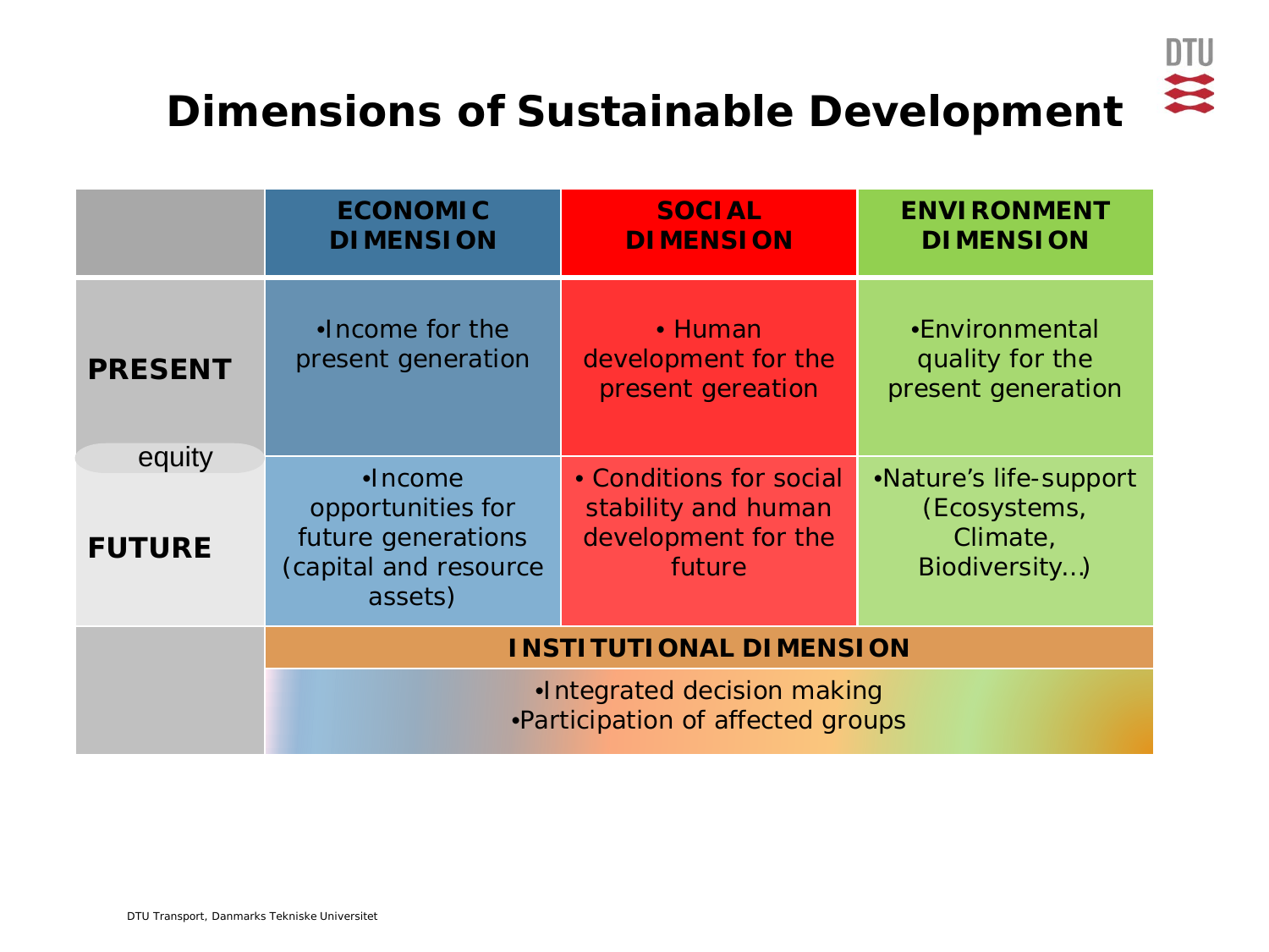

### **Dimensions of Sustainable Development**

|                         | <b>ECONOMIC</b><br><b>DIMENSION</b>                                                             | <b>SOCIAL</b><br><b>DIMENSION</b>                                               | <b>ENVIRONMENT</b><br><b>DIMENSION</b>                              |  |  |  |
|-------------------------|-------------------------------------------------------------------------------------------------|---------------------------------------------------------------------------------|---------------------------------------------------------------------|--|--|--|
| <b>PRESENT</b>          | .Income for the<br>present generation                                                           | • Human<br>development for the<br>present gereation                             | •Environmental<br>quality for the<br>present generation             |  |  |  |
| equity<br><b>FUTURE</b> | $\bullet$ Income<br>opportunities for<br>future generations<br>(capital and resource<br>assets) | • Conditions for social<br>stability and human<br>development for the<br>future | •Nature's life-support<br>(Ecosystems,<br>Climate,<br>Biodiversity) |  |  |  |
|                         | <b>INSTITUTIONAL DIMENSION</b>                                                                  |                                                                                 |                                                                     |  |  |  |
|                         | •Integrated decision making<br>•Participation of affected groups                                |                                                                                 |                                                                     |  |  |  |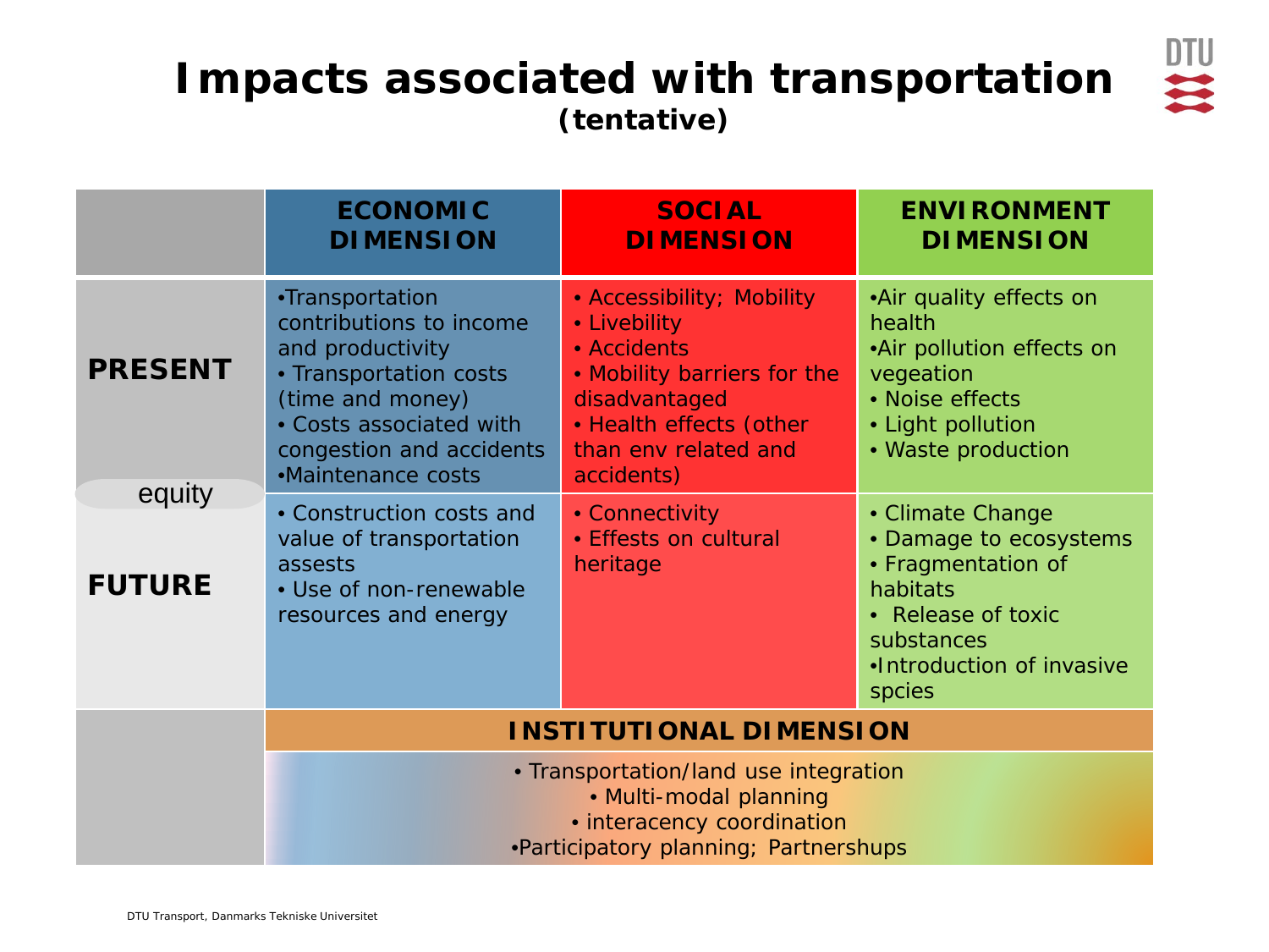#### **Impacts associated with transportation (tentative)**



|                         | <b>ECONOMIC</b><br><b>DIMENSION</b>                                                                                                                                                                                                                                                                                                 | <b>SOCIAL</b><br><b>DIMENSION</b>                                                                                                                                         | <b>ENVIRONMENT</b><br><b>DIMENSION</b>                                                                                                                  |  |  |
|-------------------------|-------------------------------------------------------------------------------------------------------------------------------------------------------------------------------------------------------------------------------------------------------------------------------------------------------------------------------------|---------------------------------------------------------------------------------------------------------------------------------------------------------------------------|---------------------------------------------------------------------------------------------------------------------------------------------------------|--|--|
| <b>PRESENT</b>          | •Transportation<br>contributions to income<br>and productivity<br>• Transportation costs<br>(time and money)<br>• Costs associated with<br>congestion and accidents<br>•Maintenance costs                                                                                                                                           | • Accessibility; Mobility<br>• Livebility<br>• Accidents<br>. Mobility barriers for the<br>disadvantaged<br>· Health effects (other<br>than env related and<br>accidents) | •Air quality effects on<br>health<br>•Air pollution effects on<br>vegeation<br>• Noise effects<br>• Light pollution<br>• Waste production               |  |  |
| equity<br><b>FUTURE</b> | • Construction costs and<br>value of transportation<br>assests<br>• Use of non-renewable<br>resources and energy                                                                                                                                                                                                                    | • Connectivity<br>· Effests on cultural<br>heritage                                                                                                                       | • Climate Change<br>• Damage to ecosystems<br>• Fragmentation of<br>habitats<br>• Release of toxic<br>substances<br>.Introduction of invasive<br>spcies |  |  |
|                         | <b>INSTITUTIONAL DIMENSION</b>                                                                                                                                                                                                                                                                                                      |                                                                                                                                                                           |                                                                                                                                                         |  |  |
|                         | • Transportation/land use integration<br>• Multi-modal planning<br>• interacency coordination<br><b>Designations</b> in the contract of the product of the contract of the contract of the contract of the contract of the contract of the contract of the contract of the contract of the contract of the contract of the contract |                                                                                                                                                                           |                                                                                                                                                         |  |  |

•Participatory planning; Partnershups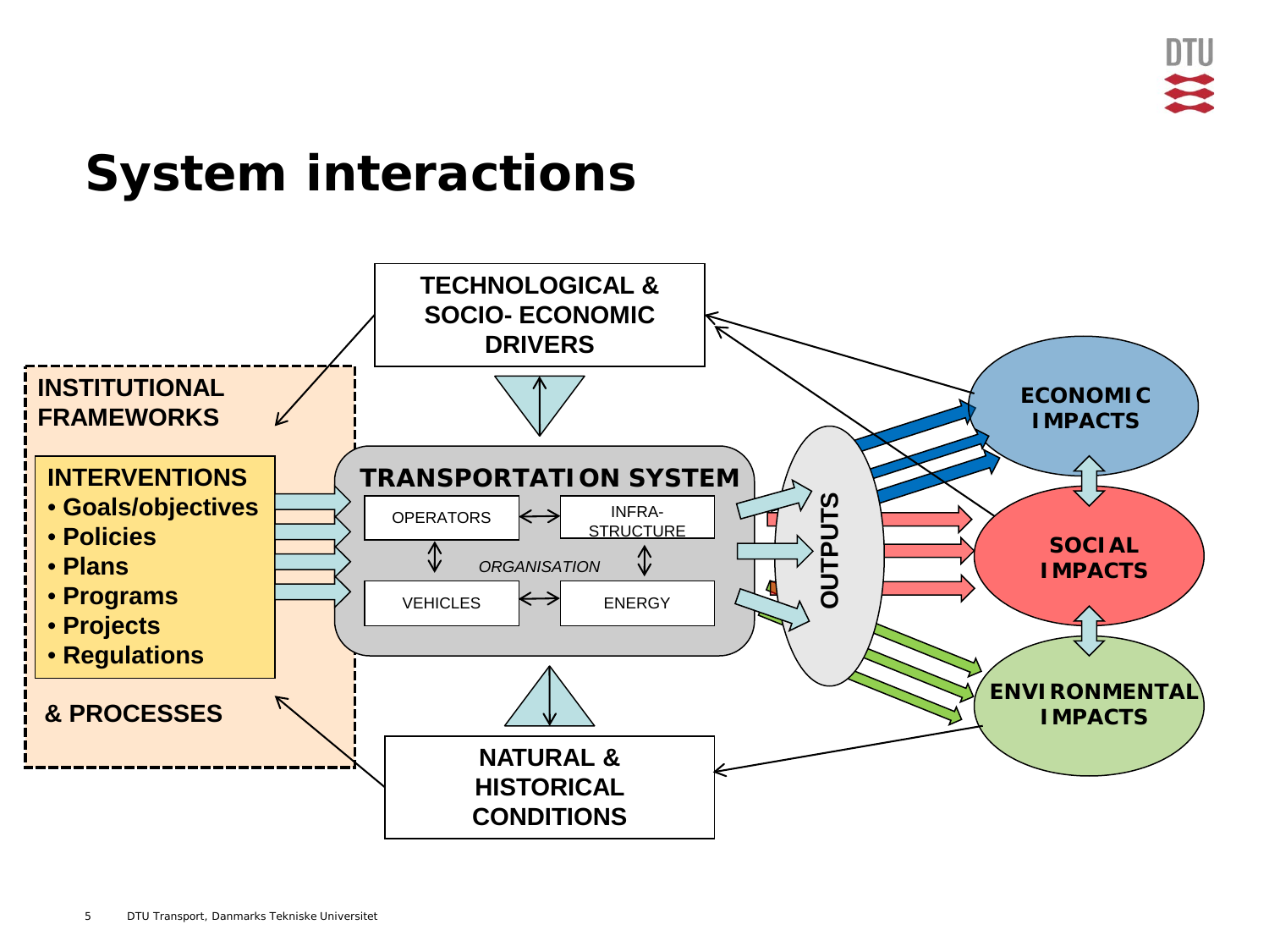## **System interactions**

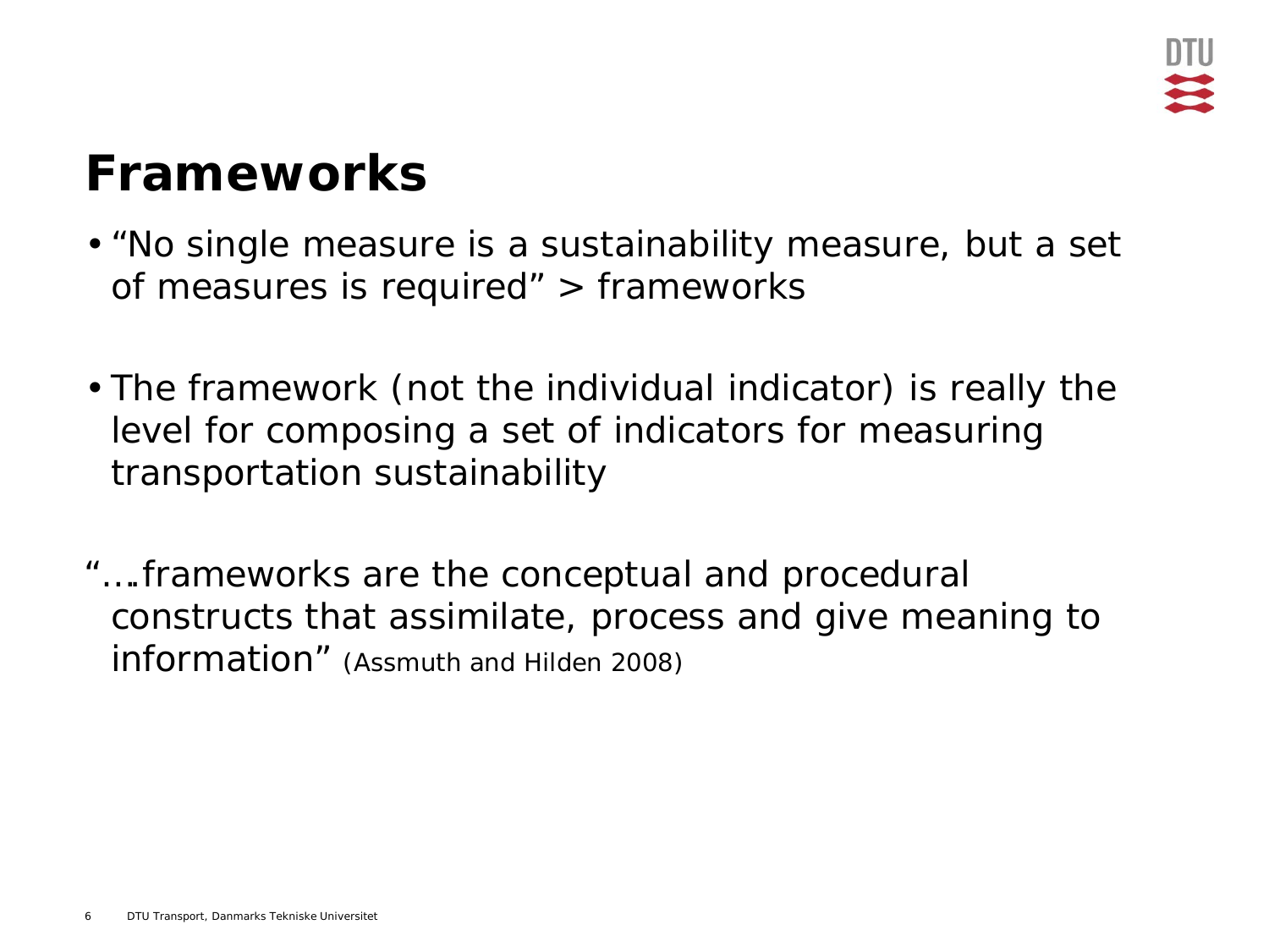## **Frameworks**

- "No single measure is a sustainability measure, but a set of measures is required" > frameworks
- The framework (not the individual indicator) is really the level for composing a set of indicators for measuring transportation sustainability
- "….frameworks are the conceptual and procedural constructs that assimilate, process and give meaning to information" (Assmuth and Hilden 2008)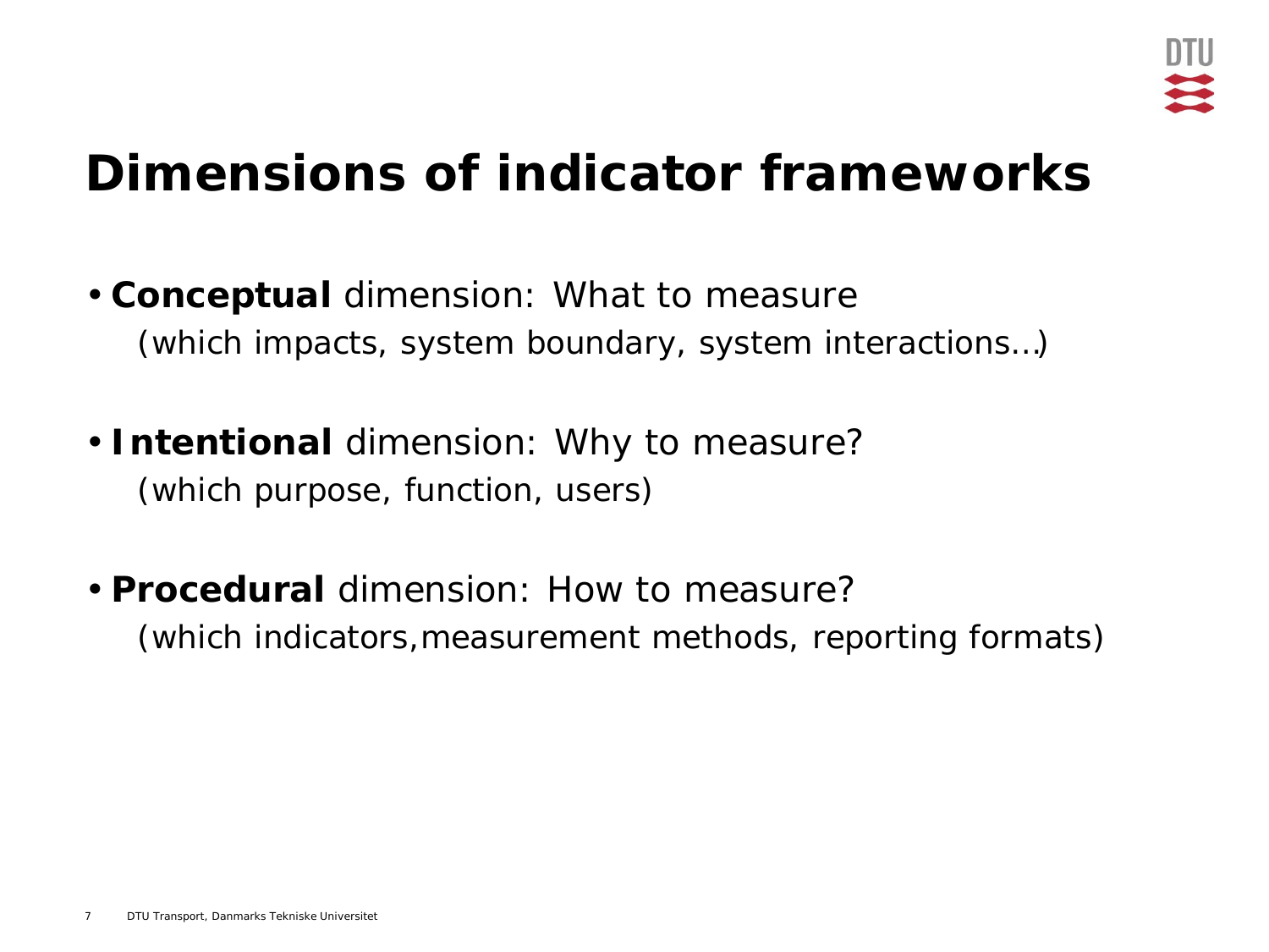## **Dimensions of indicator frameworks**

- **Conceptual** dimension: *What to measure*  (which impacts, system boundary, system interactions…)
- **Intentional** dimension: *Why to measure*? (which purpose, function, users)
- **Procedural** dimension: *How to measure*? (which indicators,measurement methods, reporting formats)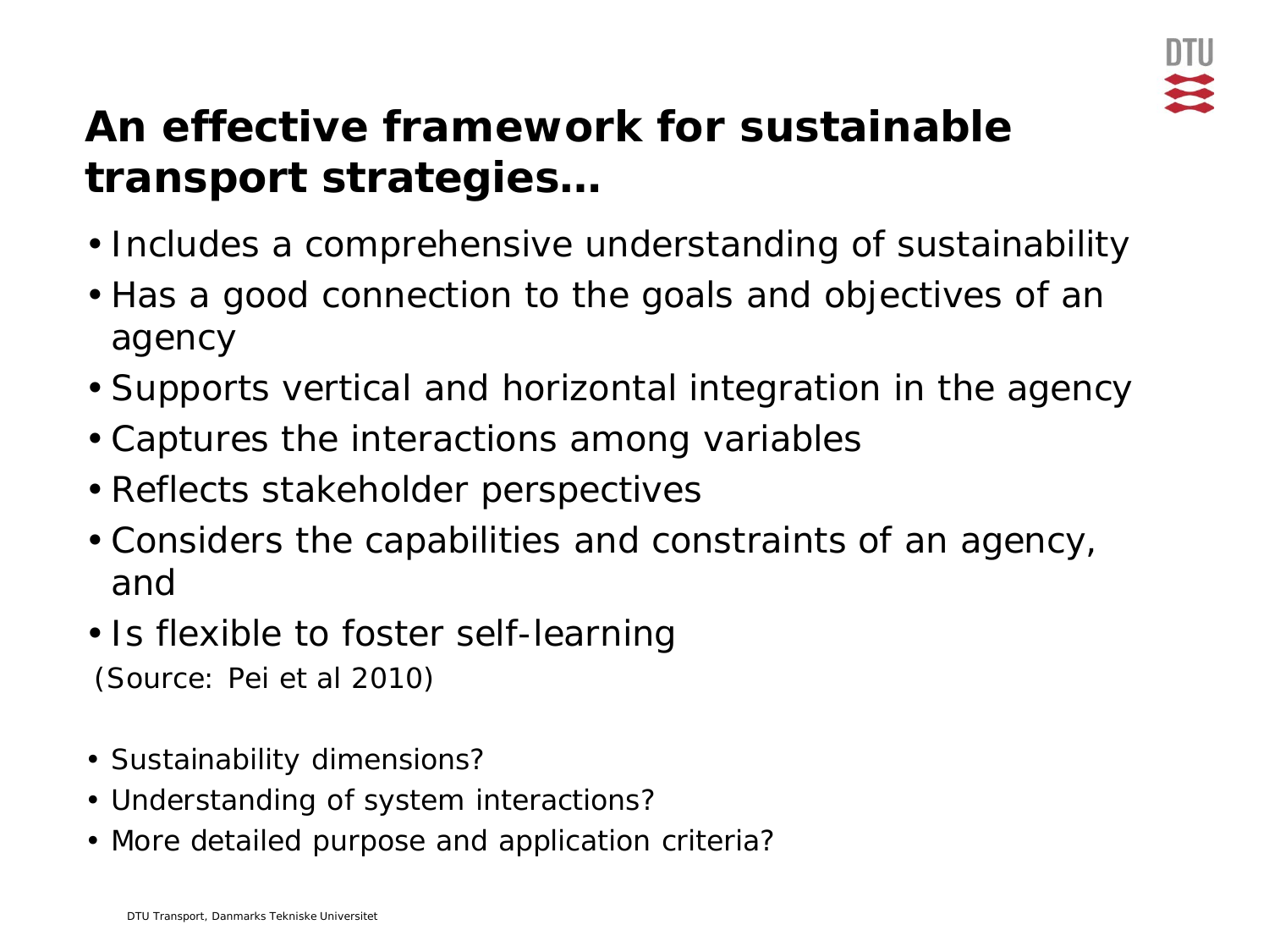

### **An effective framework for sustainable transport strategies…**

- Includes a comprehensive understanding of sustainability
- Has a good connection to the goals and objectives of an agency
- Supports vertical and horizontal integration in the agency
- Captures the interactions among variables
- Reflects stakeholder perspectives
- Considers the capabilities and constraints of an agency, and
- Is flexible to foster self-learning (Source: Pei et al 2010)
- Sustainability dimensions?
- Understanding of system interactions?
- More detailed purpose and application criteria?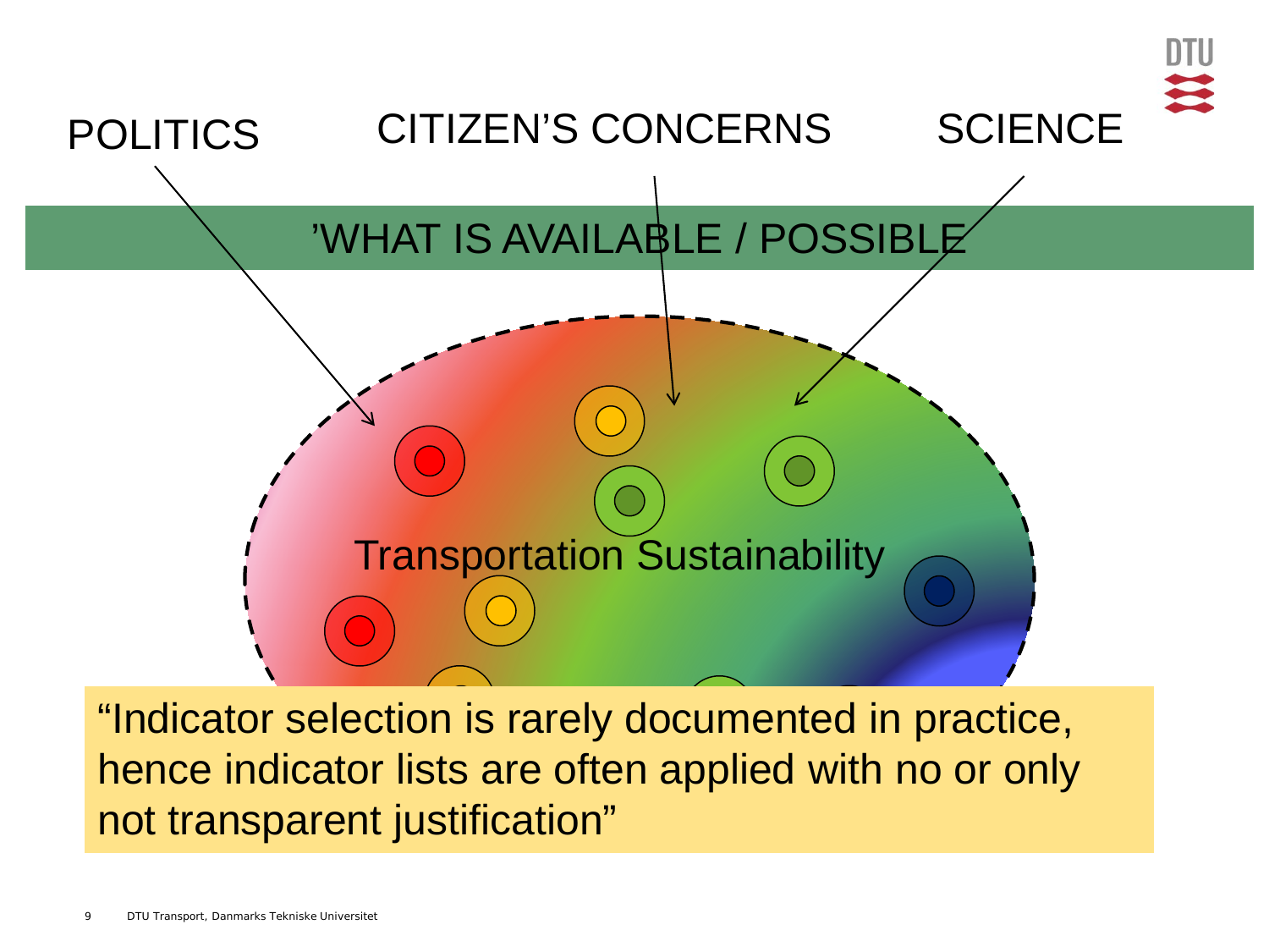

"Indicator selection is rarely documented in practice, hence indicator lists are often applied with no or only not transparent justification"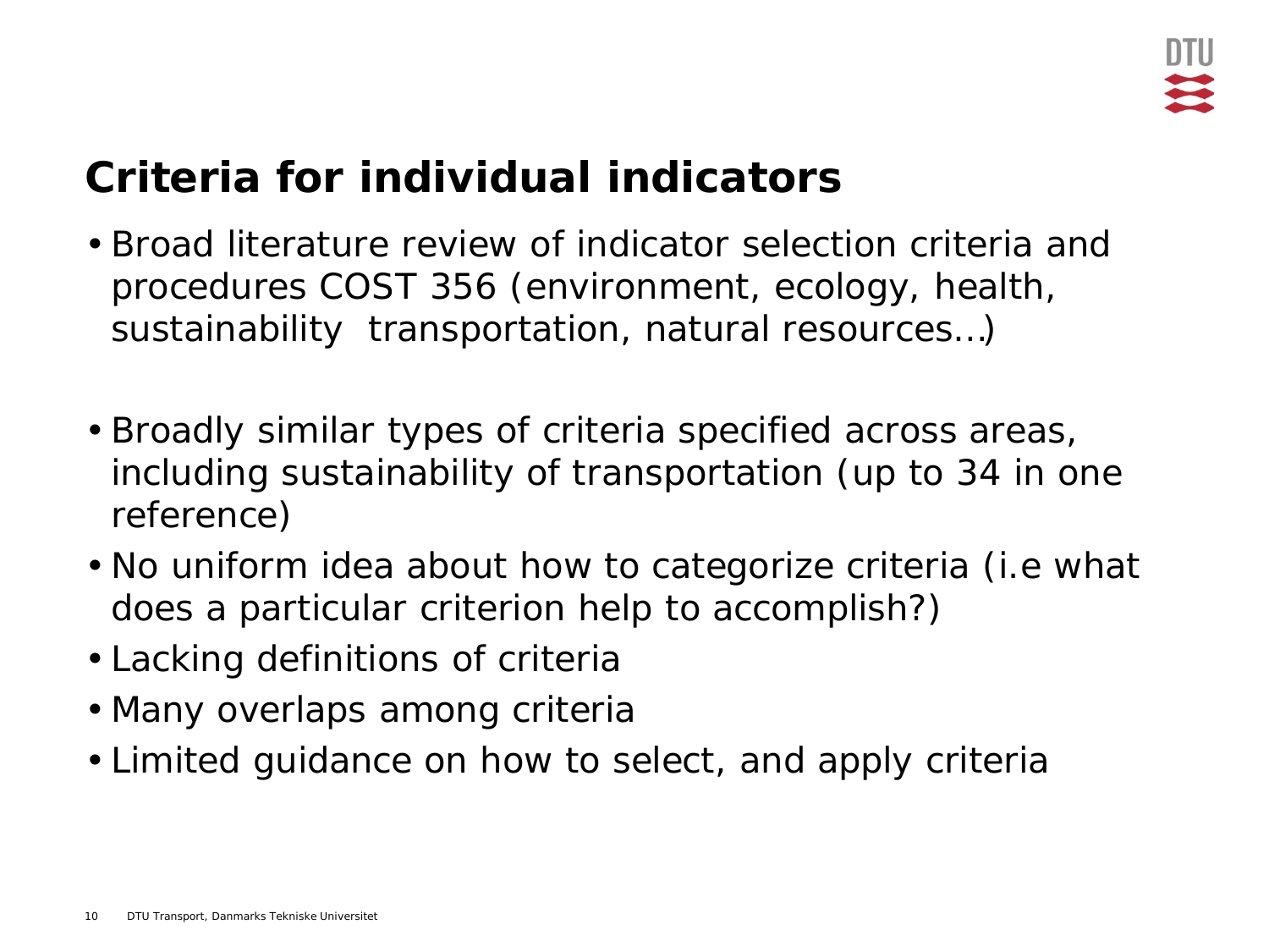### **Criteria for individual indicators**

- Broad literature review of indicator selection criteria and procedures COST 356 (environment, ecology, health, sustainability transportation, natural resources…)
- Broadly similar types of criteria specified across areas, including sustainability of transportation (up to 34 in one reference)
- No uniform idea about how to categorize criteria (i.e what does a particular criterion help to accomplish?)
- Lacking definitions of criteria
- Many overlaps among criteria
- Limited guidance on how to select, and apply criteria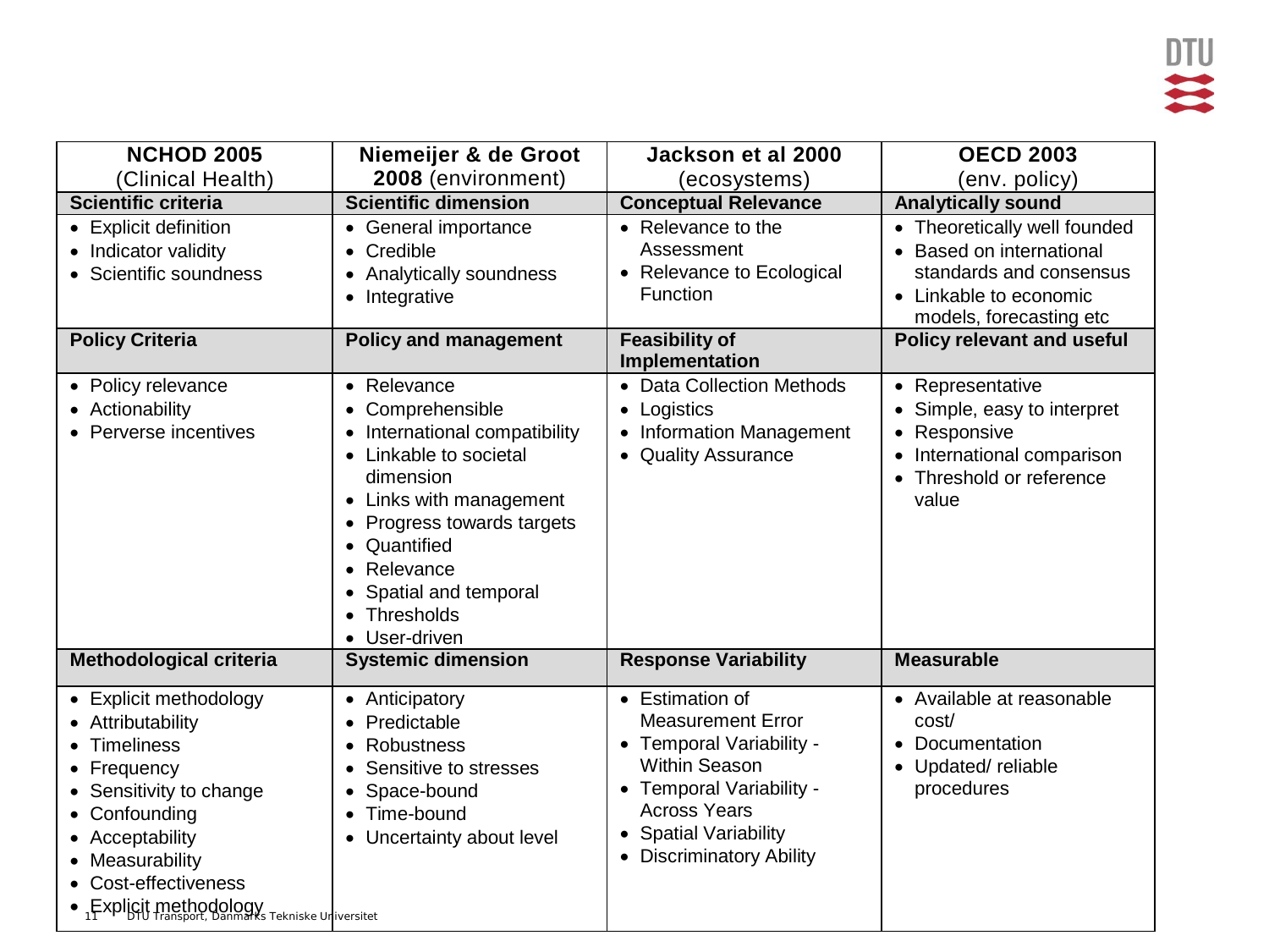| <b>NCHOD 2005</b>                                                                                                                                                                                                                   | Niemeijer & de Groot                                                                                                                                                                                                                                       | Jackson et al 2000                                                                                                                                                                                                        | <b>OECD 2003</b>                                                                                                                       |
|-------------------------------------------------------------------------------------------------------------------------------------------------------------------------------------------------------------------------------------|------------------------------------------------------------------------------------------------------------------------------------------------------------------------------------------------------------------------------------------------------------|---------------------------------------------------------------------------------------------------------------------------------------------------------------------------------------------------------------------------|----------------------------------------------------------------------------------------------------------------------------------------|
| (Clinical Health)                                                                                                                                                                                                                   | 2008 (environment)                                                                                                                                                                                                                                         | (ecosystems)                                                                                                                                                                                                              | (env. policy)                                                                                                                          |
| <b>Scientific criteria</b>                                                                                                                                                                                                          | <b>Scientific dimension</b>                                                                                                                                                                                                                                | <b>Conceptual Relevance</b>                                                                                                                                                                                               | <b>Analytically sound</b>                                                                                                              |
| • Explicit definition<br>• Indicator validity<br>• Scientific soundness                                                                                                                                                             | • General importance<br>• Credible<br>• Analytically soundness<br>• Integrative                                                                                                                                                                            | • Relevance to the<br>Assessment<br>• Relevance to Ecological<br><b>Function</b>                                                                                                                                          | • Theoretically well founded<br>Based on international<br>standards and consensus<br>• Linkable to economic<br>models, forecasting etc |
| <b>Policy Criteria</b>                                                                                                                                                                                                              | <b>Policy and management</b>                                                                                                                                                                                                                               | <b>Feasibility of</b><br>Implementation                                                                                                                                                                                   | <b>Policy relevant and useful</b>                                                                                                      |
| • Policy relevance<br>• Actionability<br>• Perverse incentives                                                                                                                                                                      | • Relevance<br>• Comprehensible<br>• International compatibility<br>• Linkable to societal<br>dimension<br>• Links with management<br>• Progress towards targets<br>• Quantified<br>• Relevance<br>• Spatial and temporal<br>• Thresholds<br>• User-driven | • Data Collection Methods<br>• Logistics<br>• Information Management<br>• Quality Assurance                                                                                                                               | • Representative<br>Simple, easy to interpret<br>Responsive<br>International comparison<br>Threshold or reference<br>value             |
| Methodological criteria                                                                                                                                                                                                             | <b>Systemic dimension</b>                                                                                                                                                                                                                                  | <b>Response Variability</b>                                                                                                                                                                                               | <b>Measurable</b>                                                                                                                      |
| • Explicit methodology<br>• Attributability<br>• Timeliness<br>• Frequency<br>• Sensitivity to change<br>• Confounding<br>• Acceptability<br>• Measurability<br>• Cost-effectiveness<br>• Fxplicit methodology Tekniske Uriversitet | • Anticipatory<br>• Predictable<br>Robustness<br>$\bullet$<br>Sensitive to stresses<br>• Space-bound<br>Time-bound<br>• Uncertainty about level                                                                                                            | • Estimation of<br><b>Measurement Error</b><br>• Temporal Variability -<br><b>Within Season</b><br>• Temporal Variability -<br><b>Across Years</b><br><b>Spatial Variability</b><br>$\bullet$<br>• Discriminatory Ability | • Available at reasonable<br>cost/<br>Documentation<br>$\bullet$<br>Updated/reliable<br>procedures                                     |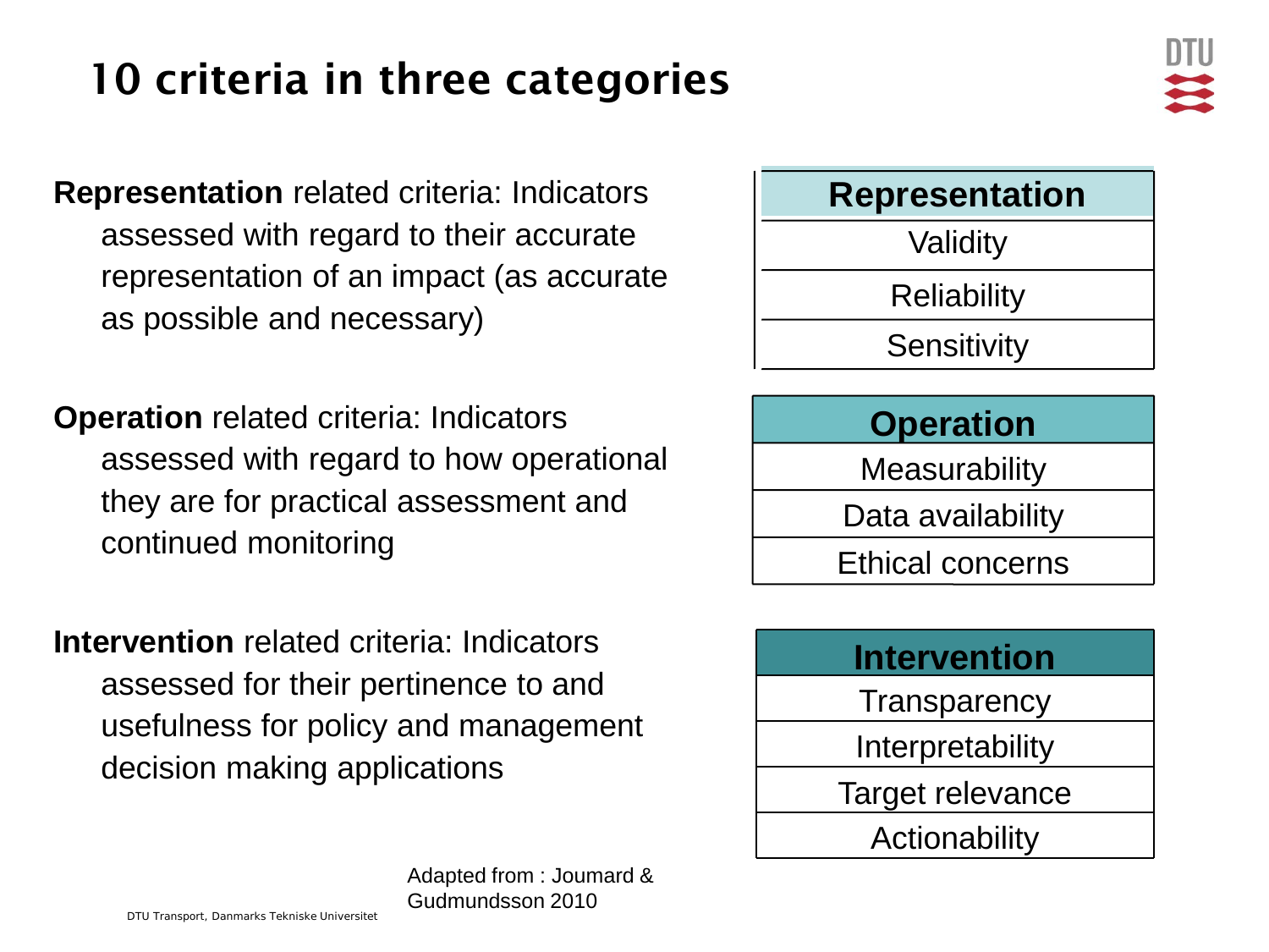## 10 criteria in three categories

**Representation** related criteria: Indicators assessed with regard to their accurate representation of an impact (as accurate as possible and necessary)

**Operation** related criteria: Indicators assessed with regard to how operational they are for practical assessment and continued monitoring

**Intervention** related criteria: Indicators assessed for their pertinence to and usefulness for policy and management decision making applications



| <b>Intervention</b> |
|---------------------|
| Transparency        |
| Interpretability    |
| Target relevance    |
| Actionability       |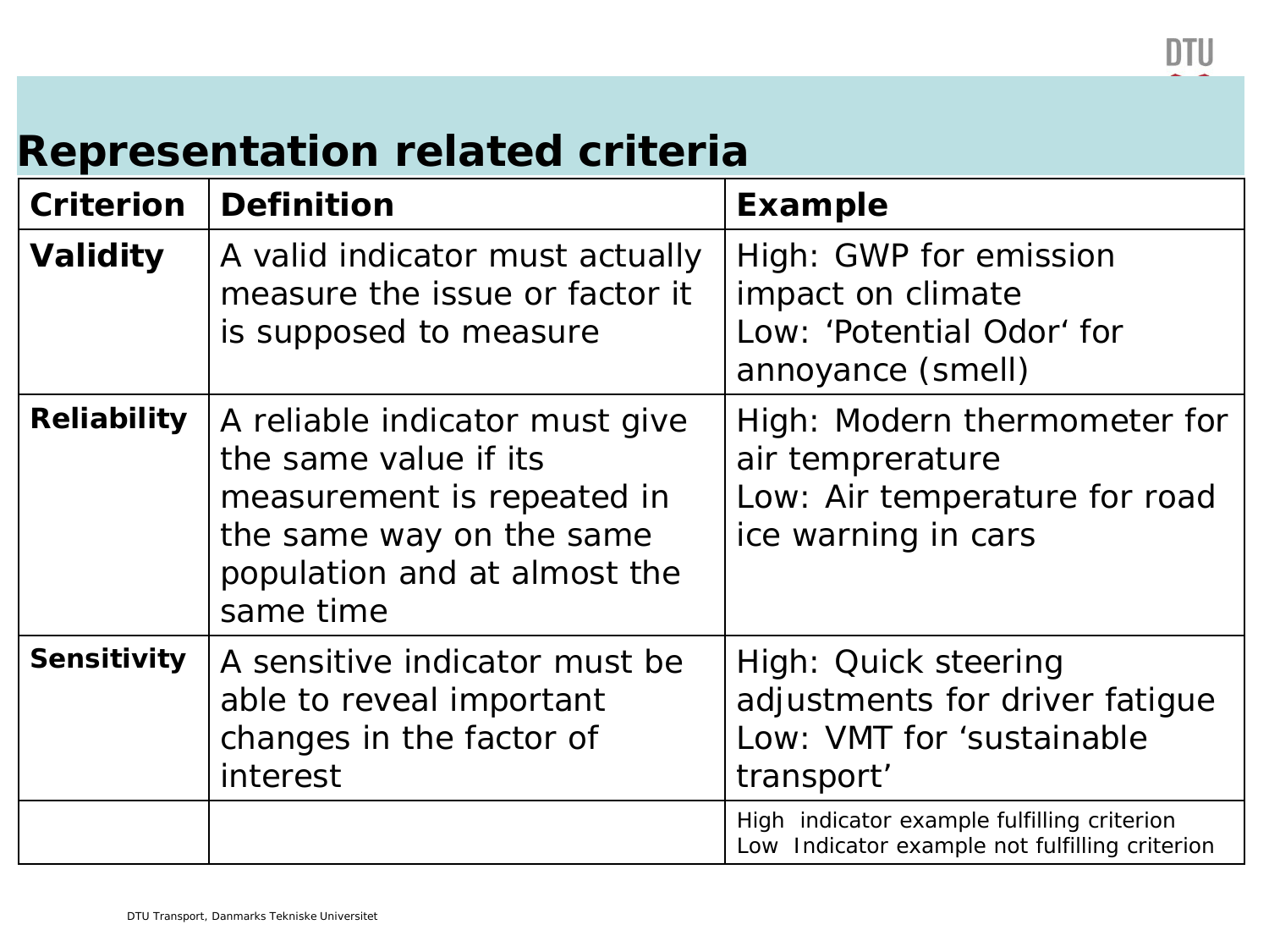#### **Representation related criteria**

| <b>Criterion</b>   | <b>Definition</b>                                                                                                                                              | <b>Example</b>                                                                                           |
|--------------------|----------------------------------------------------------------------------------------------------------------------------------------------------------------|----------------------------------------------------------------------------------------------------------|
| <b>Validity</b>    | A valid indicator must actually<br>measure the issue or factor it<br>is supposed to measure                                                                    | High: GWP for emission<br>impact on climate<br>Low: 'Potential Odor' for<br>annoyance (smell)            |
| <b>Reliability</b> | A reliable indicator must give<br>the same value if its<br>measurement is repeated in<br>the same way on the same<br>population and at almost the<br>same time | High: Modern thermometer for<br>air temprerature<br>Low: Air temperature for road<br>ice warning in cars |
| <b>Sensitivity</b> | A sensitive indicator must be<br>able to reveal important<br>changes in the factor of<br>interest                                                              | High: Quick steering<br>adjustments for driver fatigue<br>Low: VMT for 'sustainable<br>transport'        |
|                    |                                                                                                                                                                | High indicator example fulfilling criterion<br>Low Indicator example not fulfilling criterion            |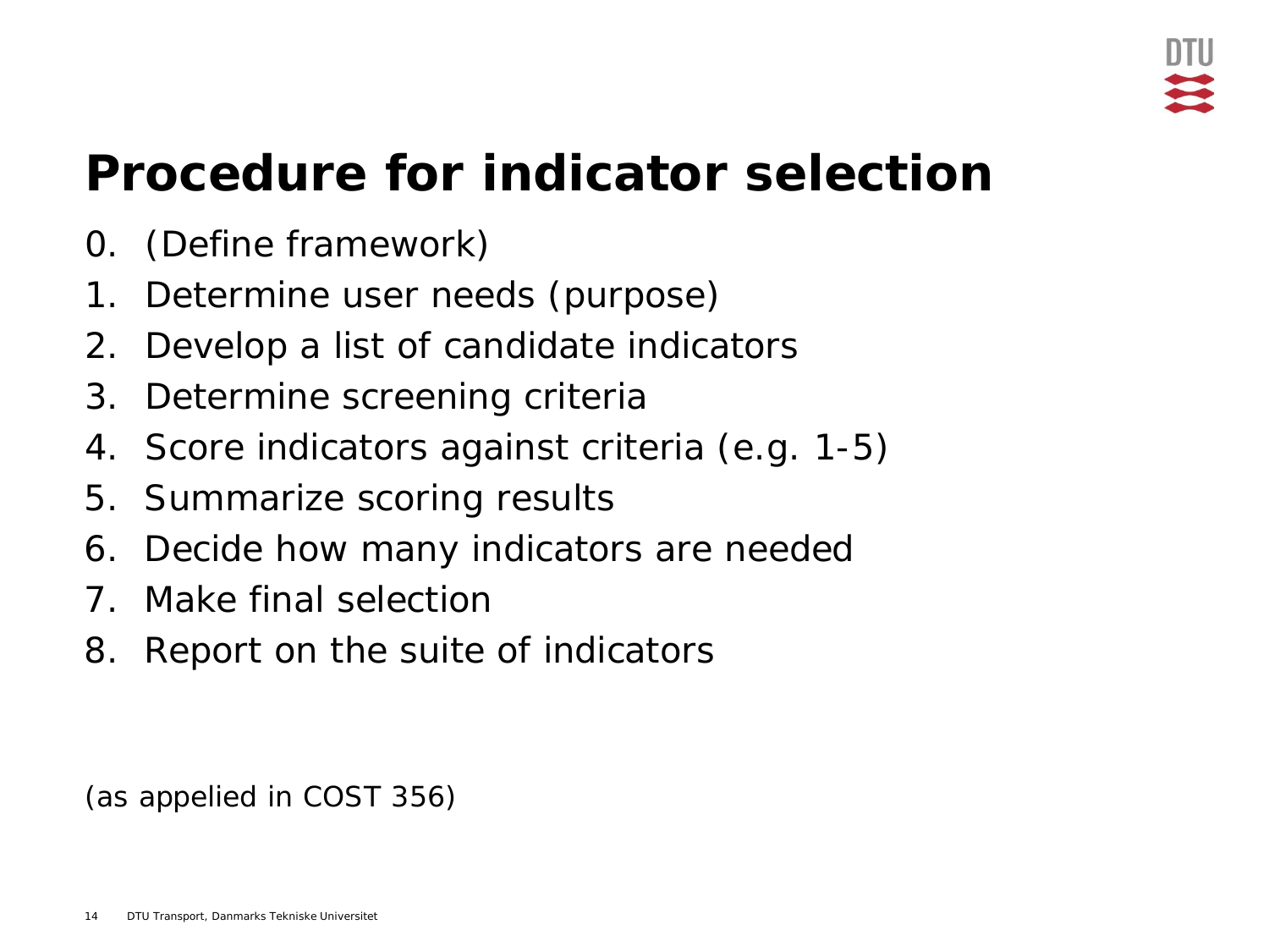## **Procedure for indicator selection**

- 0. (Define framework)
- 1. Determine user needs (purpose)
- 2. Develop a list of candidate indicators
- 3. Determine screening criteria
- 4. Score indicators against criteria (e.g. 1-5)
- 5. Summarize scoring results
- 6. Decide how many indicators are needed
- 7. Make final selection
- 8. Report on the suite of indicators

(as appelied in COST 356)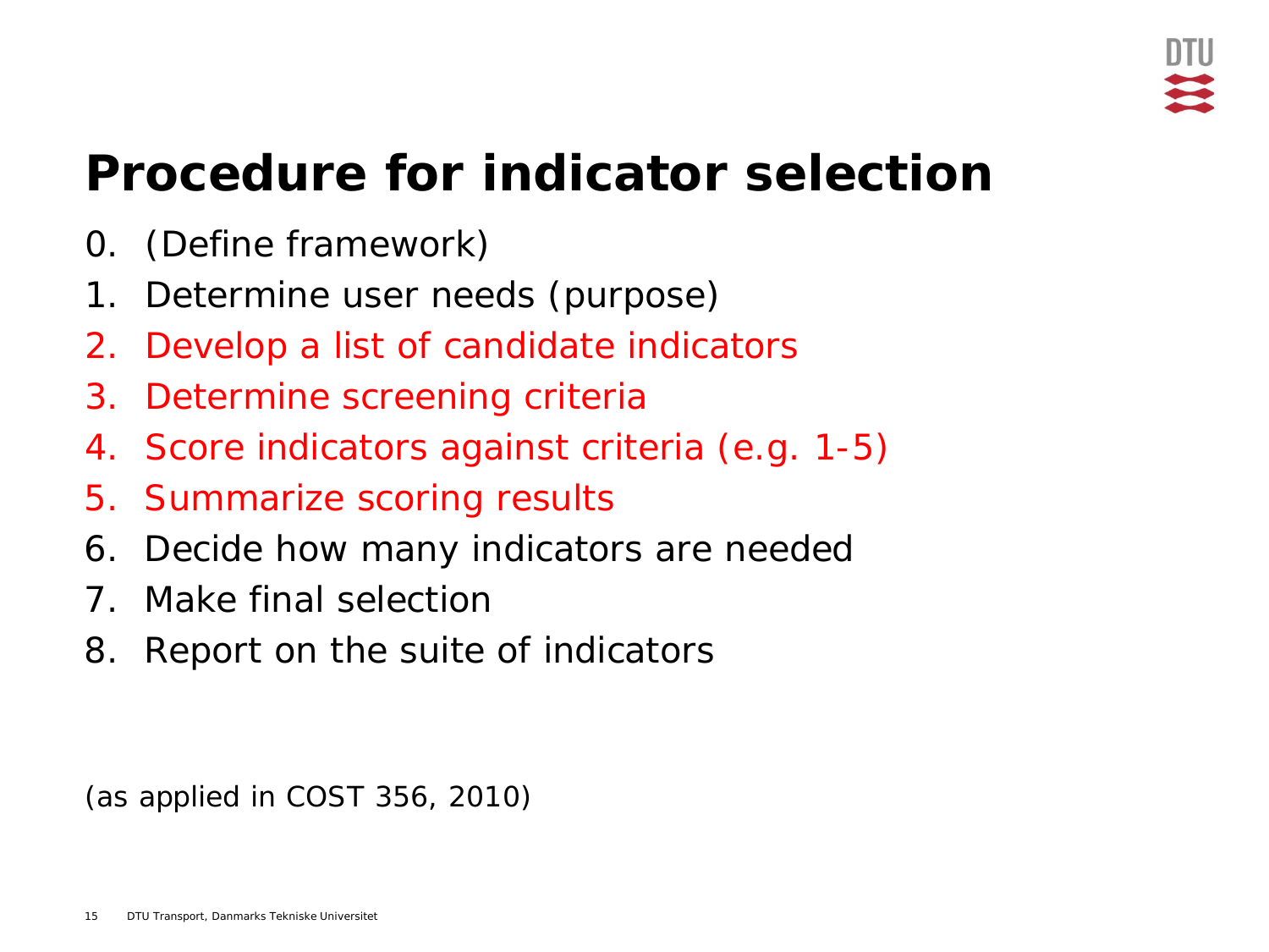## **Procedure for indicator selection**

- 0. (Define framework)
- 1. Determine user needs (purpose)
- 2. Develop a list of candidate indicators
- 3. Determine screening criteria
- 4. Score indicators against criteria (e.g. 1-5)
- 5. Summarize scoring results
- 6. Decide how many indicators are needed
- 7. Make final selection
- 8. Report on the suite of indicators

(as applied in COST 356, 2010)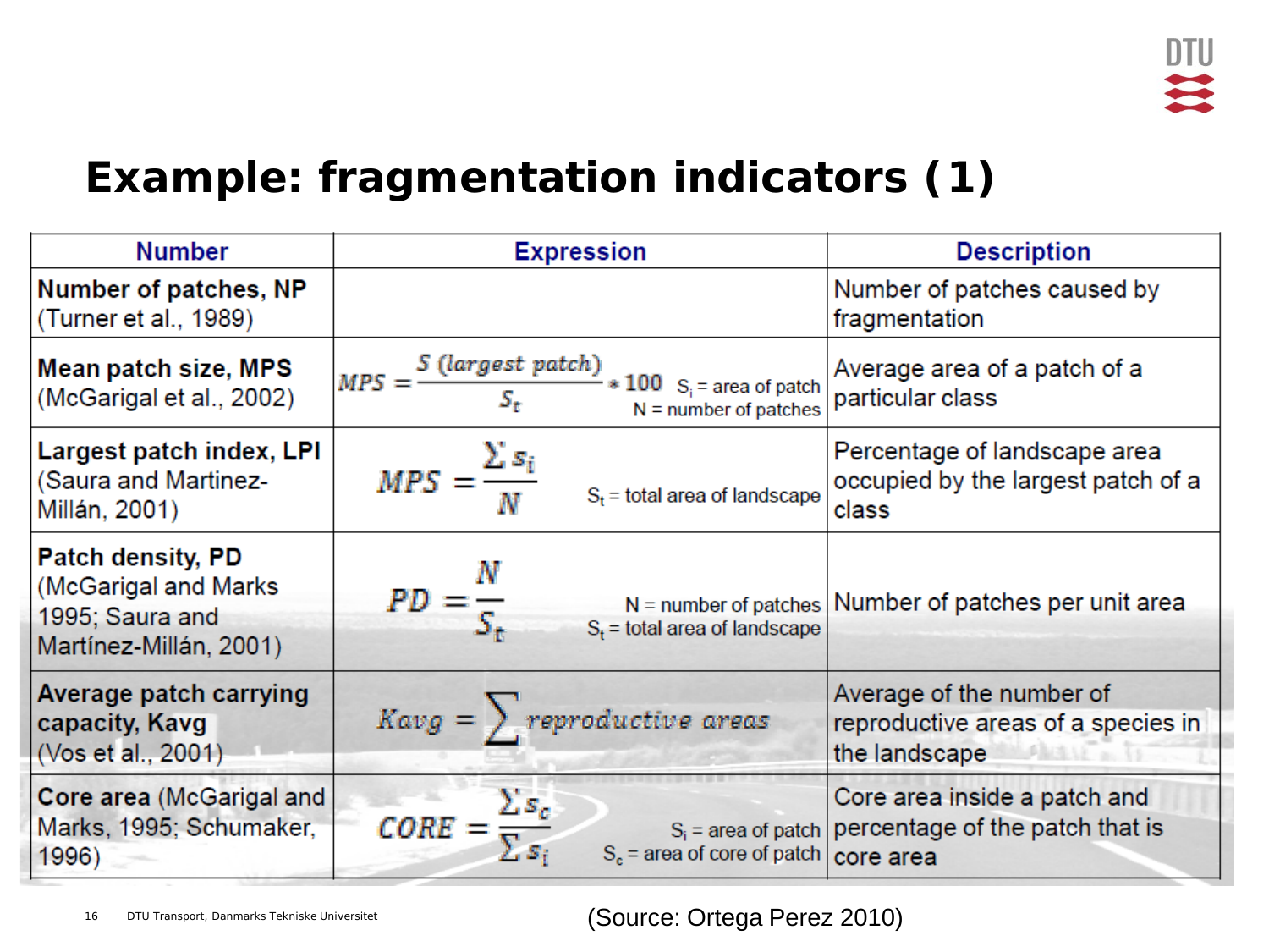

### **Example: fragmentation indicators (1)**

| <b>Number</b>                                                                                 | <b>Expression</b>                                                                                     | <b>Description</b>                                                                      |  |  |  |
|-----------------------------------------------------------------------------------------------|-------------------------------------------------------------------------------------------------------|-----------------------------------------------------------------------------------------|--|--|--|
| Number of patches, NP<br>(Turner et al., 1989)                                                |                                                                                                       | Number of patches caused by<br>fragmentation                                            |  |  |  |
| Mean patch size, MPS<br>(McGarigal et al., 2002)                                              | $MPS = \frac{S \ (largest patch)}{S_2} * 100 \ S_1 = \text{area of patch}$<br>$N =$ number of patches | Average area of a patch of a<br>particular class                                        |  |  |  |
| Largest patch index, LPI<br>(Saura and Martinez-<br>Millán, 2001)                             | $MPS = \frac{\sum s_i}{N}$<br>$S_t$ = total area of landscape                                         | Percentage of landscape area<br>occupied by the largest patch of a<br>class             |  |  |  |
| <b>Patch density, PD</b><br>(McGarigal and Marks<br>1995; Saura and<br>Martínez-Millán, 2001) | $PD = \frac{R}{S_+}$<br>$S_t$ = total area of landscape                                               | $N =$ number of patches Number of patches per unit area                                 |  |  |  |
| Average patch carrying<br>capacity, Kavg<br>(Vos et al., 2001)                                | $Kavg = \sum$ reproductive areas                                                                      | Average of the number of<br>reproductive areas of a species in<br>the landscape         |  |  |  |
| Core area (McGarigal and<br>Marks, 1995; Schumaker,<br>1996)                                  | $\textit{CORE} = \frac{\sum s_c}{\sum s_i}$<br>$S_c$ = area of core of patch $\vert$ core area        | Core area inside a patch and<br>$S_i$ = area of patch   percentage of the patch that is |  |  |  |

16 DTU Transport, Danmarks Tekniske Universitet **1988** (Source: Ortega Perez 2010)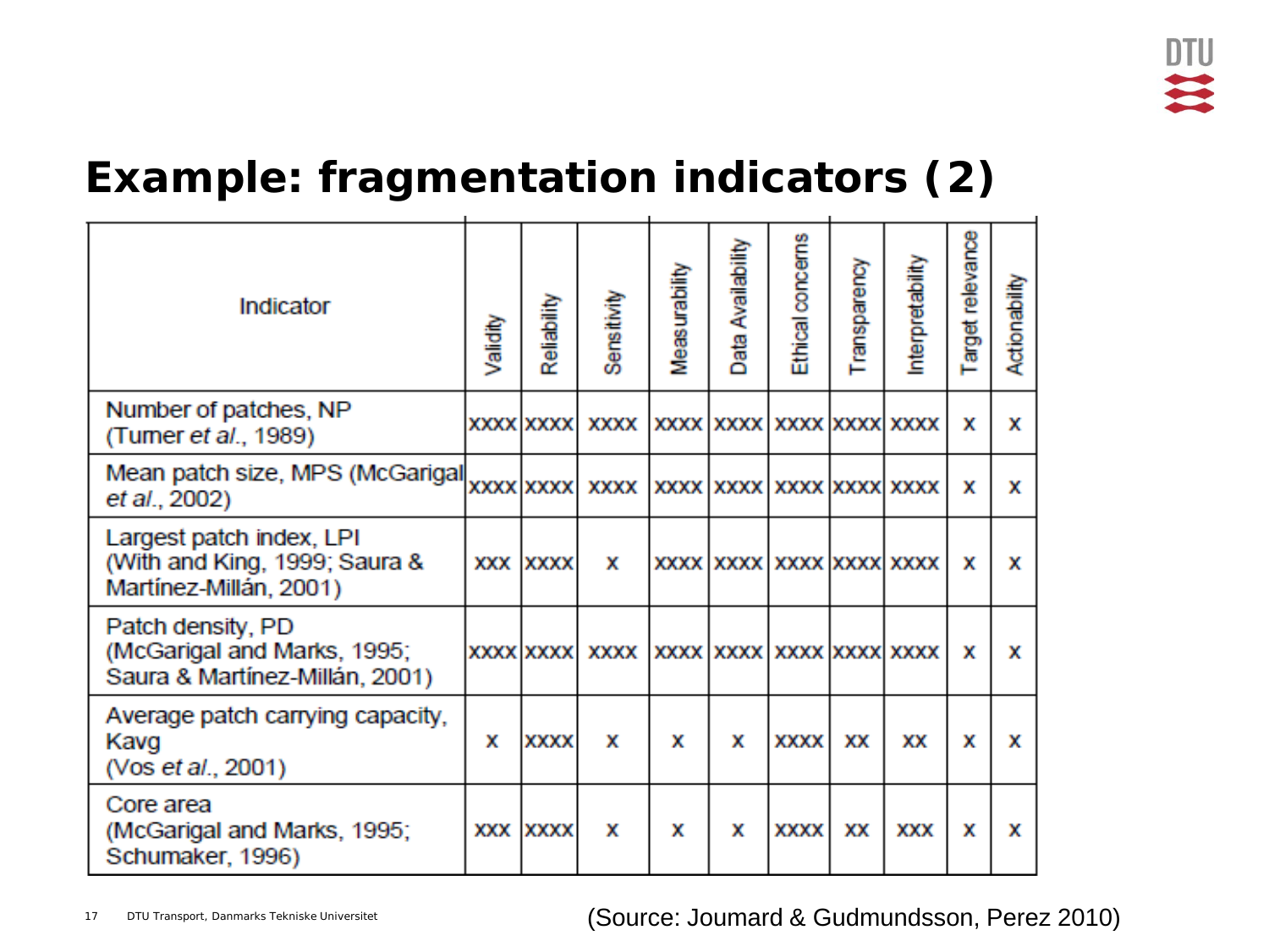## **Example: fragmentation indicators (2)**

| Indicator                                                                           | Validity | Reliability      | Sensitivity | Measurability | Availability<br>Data | Ethical concerns         | Transparency | Interpretability         | Target relevance | Actionability |
|-------------------------------------------------------------------------------------|----------|------------------|-------------|---------------|----------------------|--------------------------|--------------|--------------------------|------------------|---------------|
| Number of patches, NP<br>(Tumer et al., 1989)                                       |          | <b>XXXX XXXX</b> | <b>XXXX</b> |               |                      | XXXX XXXX XXXX XXXX XXXX |              |                          | x                | x             |
| Mean patch size, MPS (McGarigal<br>et al., 2002)                                    |          | <b>XXXX XXXX</b> | xxxx l      |               |                      |                          |              | XXXX XXXX XXXX XXXX XXXX | x                | x             |
| Largest patch index, LPI<br>(With and King, 1999; Saura &<br>Martínez-Millán, 2001) |          | XXX XXXX         | x           |               |                      |                          |              | XXXX XXXX XXXX XXXX XXXX | x                | x             |
| Patch density, PD<br>(McGarigal and Marks, 1995;<br>Saura & Martínez-Millán, 2001)  |          | <b>XXXX XXXX</b> | xxxx l      |               |                      |                          |              | XXXX XXXX XXXX XXXX XXXX | x                | x             |
| Average patch carrying capacity,<br>Kavg<br>(Vos et al., 2001)                      | x        | XXXX             | x           | x             | x                    | XXXX                     | XХ           | XХ                       | x                | x             |
| Core area<br>(McGarigal and Marks, 1995;<br>Schumaker, 1996)                        |          | XXX XXXX         | x           | x             | x                    | XXXX                     | XХ           | XXX                      | x                | x             |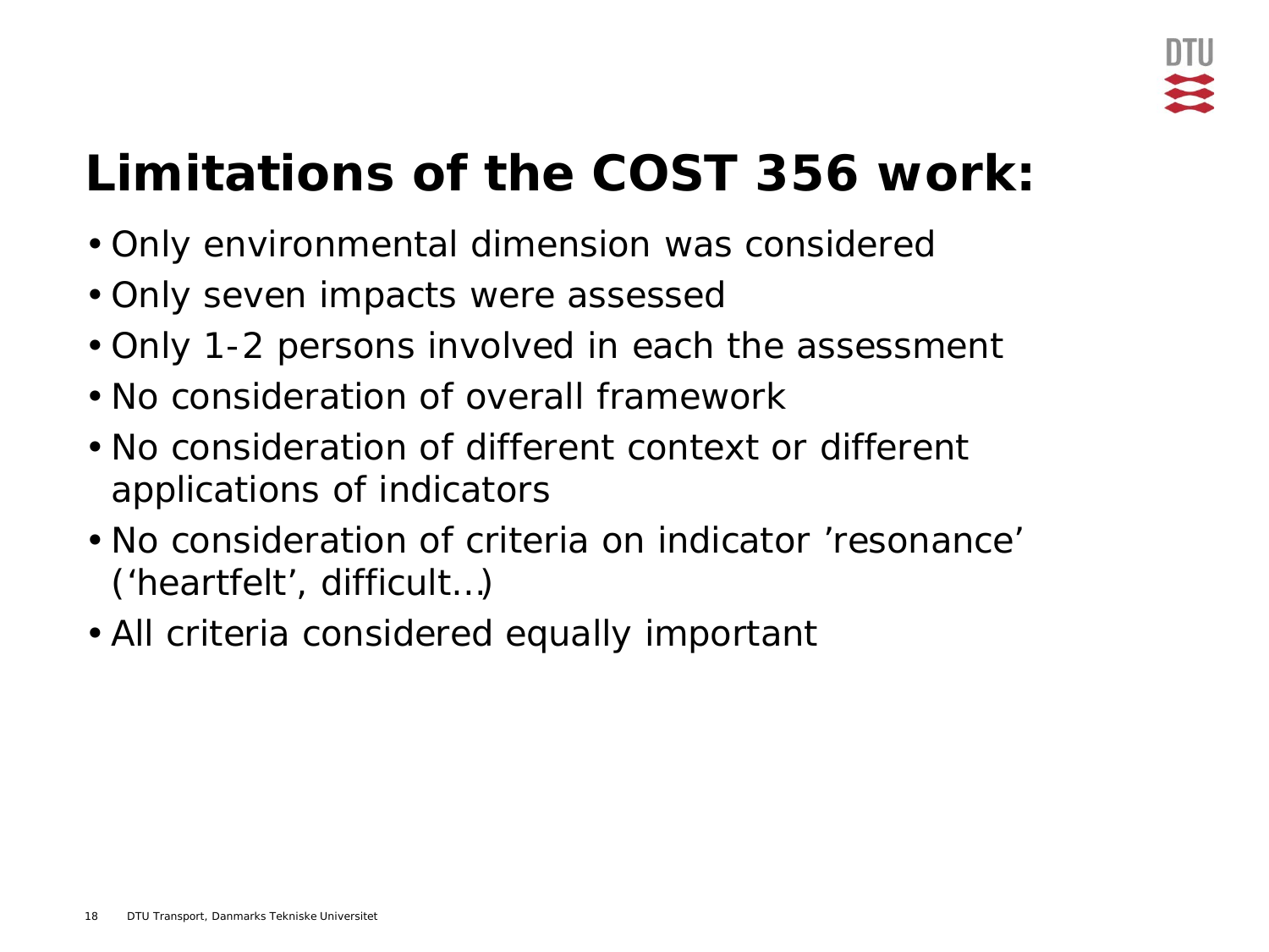## **Limitations of the COST 356 work:**

- Only environmental dimension was considered
- Only seven impacts were assessed
- Only 1-2 persons involved in each the assessment
- No consideration of overall framework
- No consideration of different context or different applications of indicators
- No consideration of criteria on indicator 'resonance' ('heartfelt', difficult…)
- All criteria considered equally important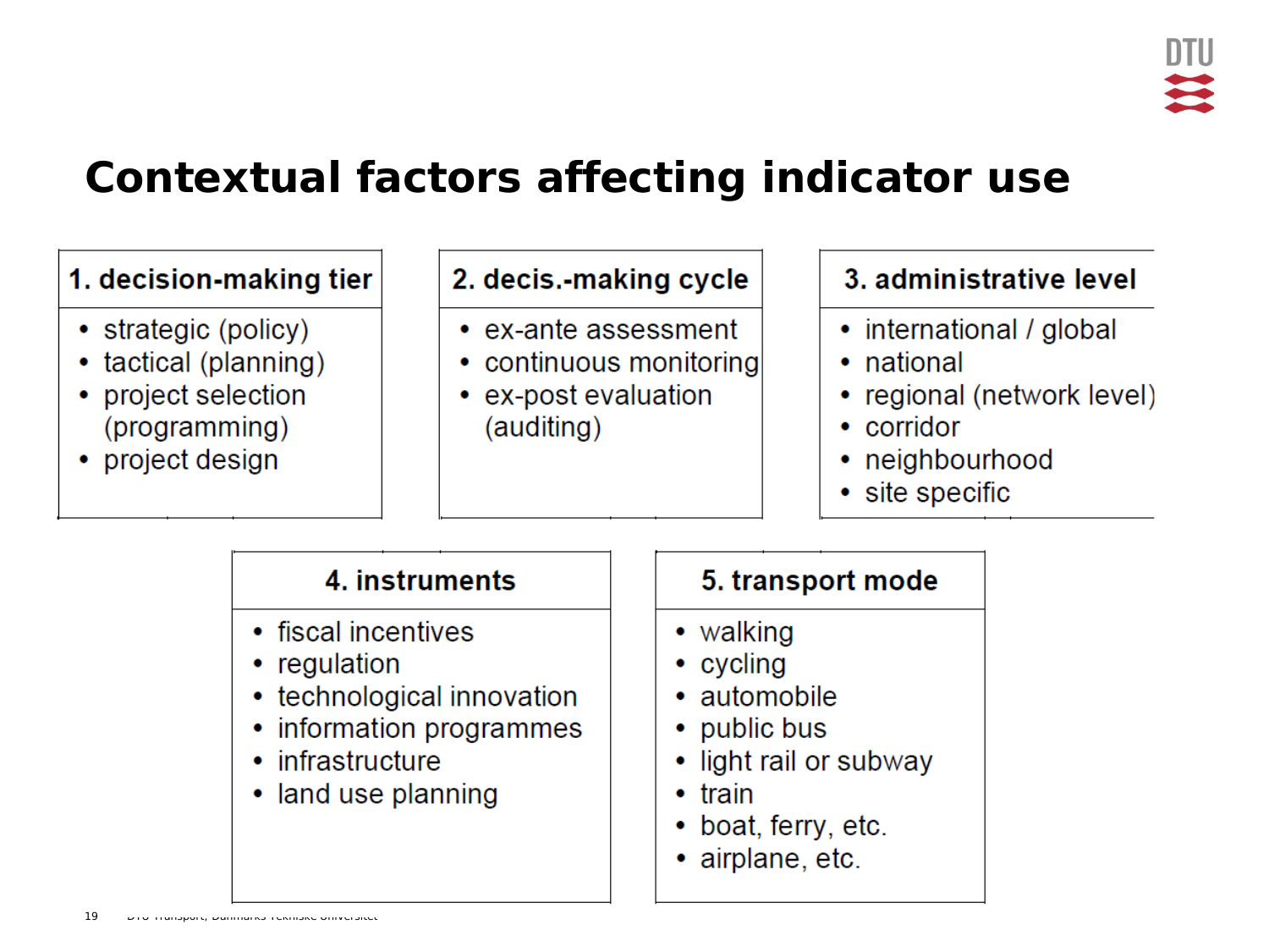### **Contextual factors affecting indicator use**

#### 1. decision-making tier

- strategic (policy)
- tactical (planning)
- project selection (programming)
- project design

#### 2. decis.-making cycle

- ex-ante assessment
- continuous monitoring
- ex-post evaluation (auditing)

#### 3. administrative level

- international / global
- national
- regional (network level)
- corridor
- neighbourhood
- site specific

#### 4. instruments

- fiscal incentives
- regulation
- technological innovation
- information programmes
- infrastructure
- land use planning

#### 5. transport mode

- walking
- cycling
- automobile
- public bus
- light rail or subway
- $\bullet$  train
- boat, ferry, etc.
- airplane, etc.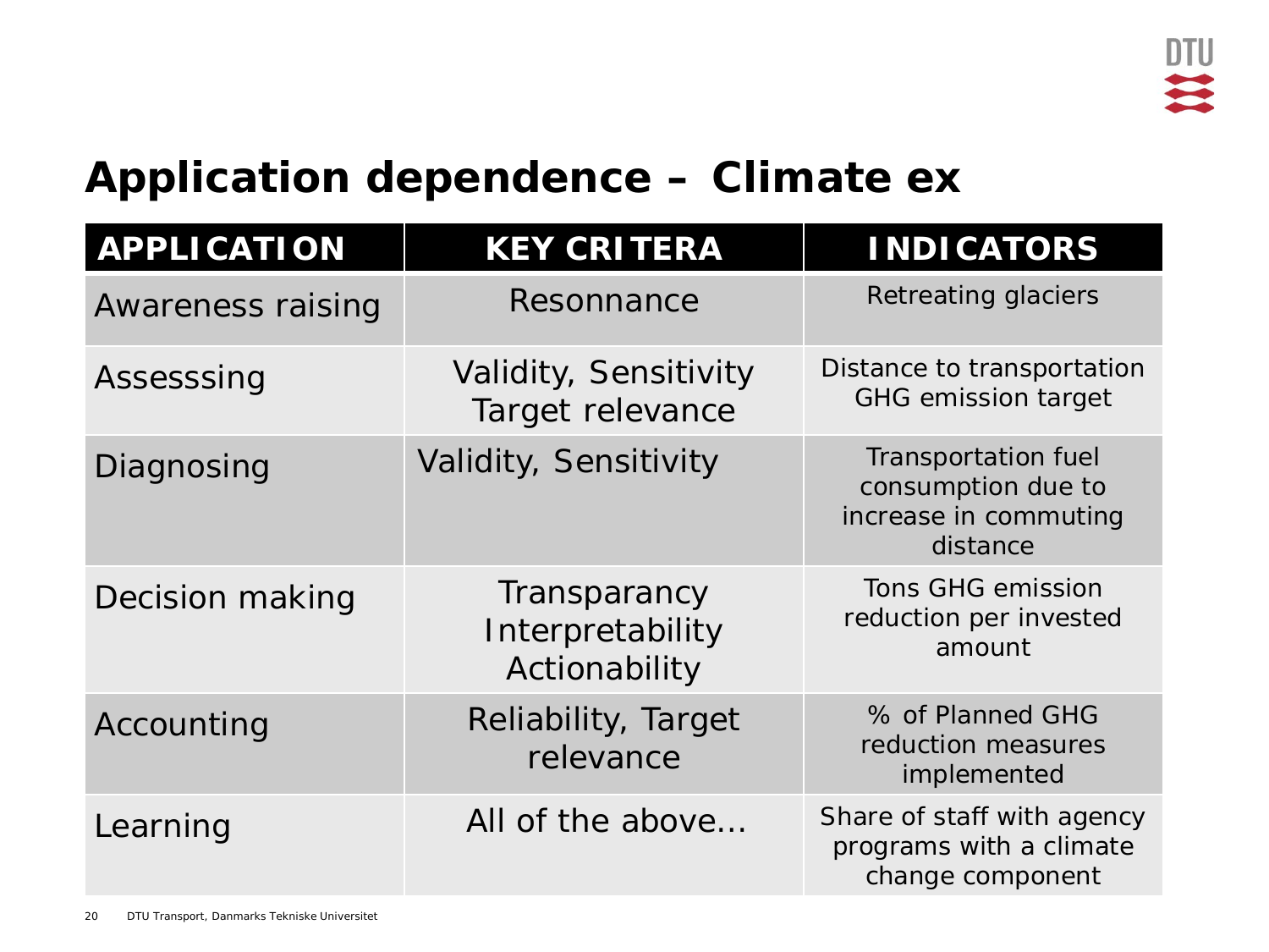### **Application dependence – Climate ex**

| <b>APPLICATION</b>       | <b>KEY CRITERA</b>                                | <b>INDICATORS</b>                                                              |
|--------------------------|---------------------------------------------------|--------------------------------------------------------------------------------|
| <b>Awareness raising</b> | Resonnance                                        | Retreating glaciers                                                            |
| Assesssing               | Validity, Sensitivity<br>Target relevance         | Distance to transportation<br><b>GHG emission target</b>                       |
| Diagnosing               | Validity, Sensitivity                             | Transportation fuel<br>consumption due to<br>increase in commuting<br>distance |
| Decision making          | Transparancy<br>Interpretability<br>Actionability | <b>Tons GHG emission</b><br>reduction per invested<br>amount                   |
| Accounting               | Reliability, Target<br>relevance                  | % of Planned GHG<br>reduction measures<br>implemented                          |
| Learning                 | All of the above                                  | Share of staff with agency<br>programs with a climate<br>change component      |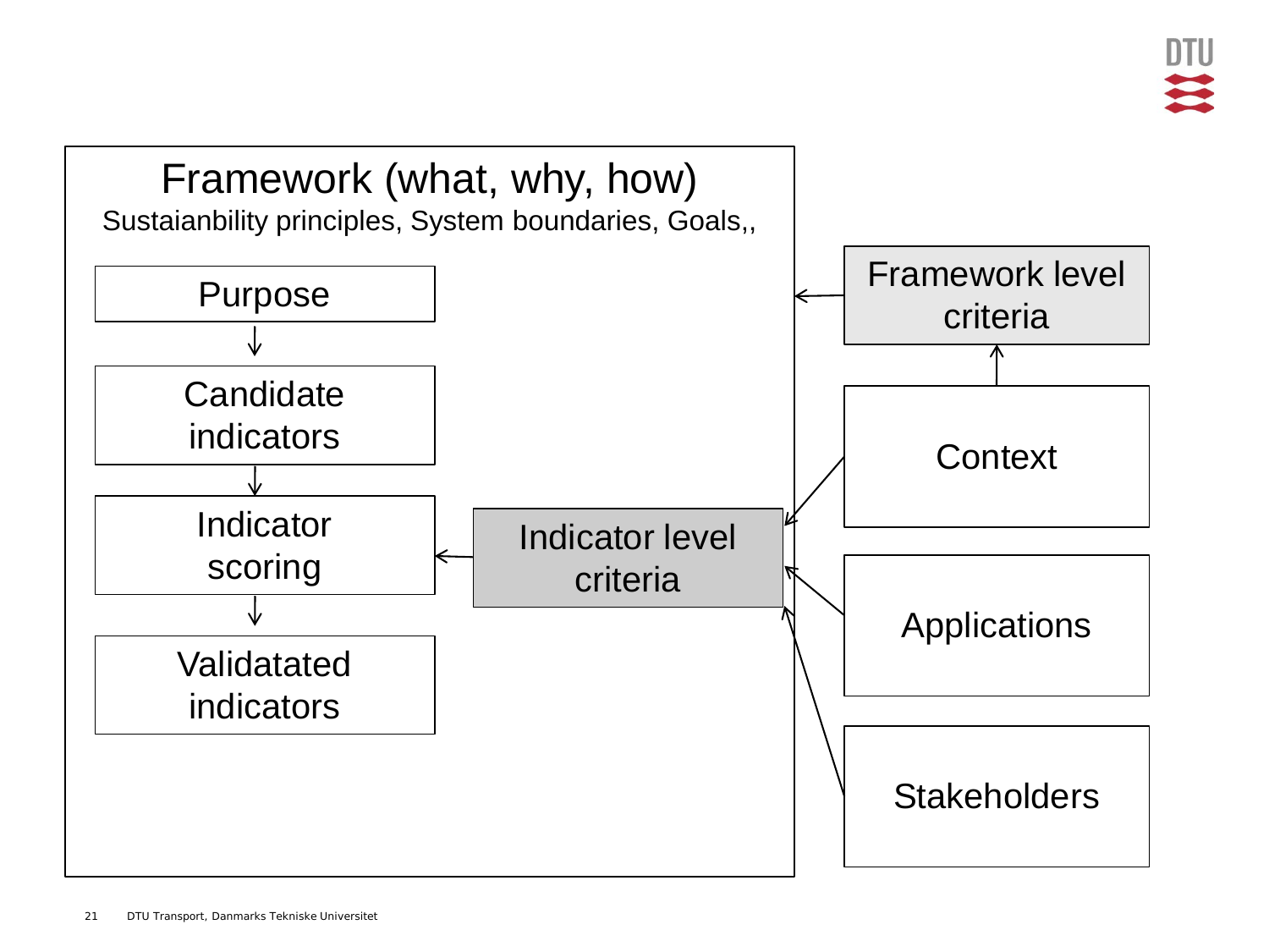